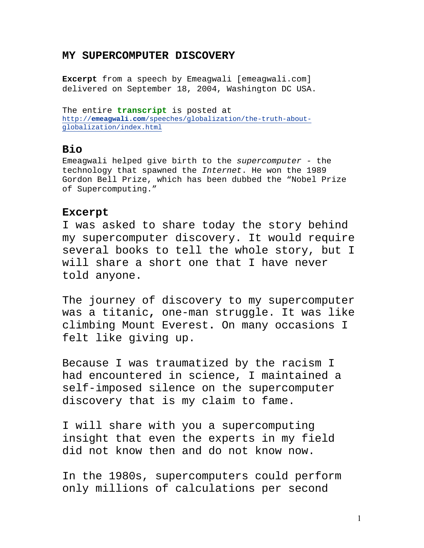## **MY SUPERCOMPUTER DISCOVERY**

**Excerpt** from a speech by Emeagwali [emeagwali.com] delivered on September 18, 2004, Washington DC USA.

The entire **transcript** is posted at http://**emeagwali.com**/speeches/globalization/the-truth-aboutglobalization/index.html

## **Bio**

Emeagwali helped give birth to the supercomputer - the technology that spawned the Internet. He won the 1989 Gordon Bell Prize, which has been dubbed the "Nobel Prize of Supercomputing."

## **Excerpt**

I was asked to share today the story behind my supercomputer discovery. It would require several books to tell the whole story, but I will share a short one that I have never told anyone.

The journey of discovery to my supercomputer was a titanic**,** one-man struggle. It was like climbing Mount Everest**.** On many occasions I felt like giving up.

Because I was traumatized by the racism I had encountered in science, I maintained a self-imposed silence on the supercomputer discovery that is my claim to fame.

I will share with you a supercomputing insight that even the experts in my field did not know then and do not know now.

In the 1980s, supercomputers could perform only millions of calculations per second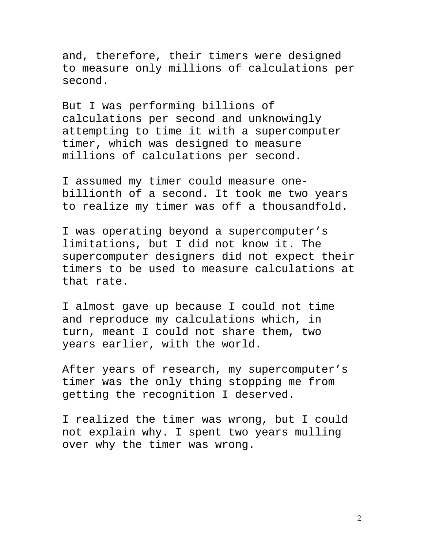and, therefore, their timers were designed to measure only millions of calculations per second.

But I was performing billions of calculations per second and unknowingly attempting to time it with a supercomputer timer, which was designed to measure millions of calculations per second.

I assumed my timer could measure onebillionth of a second. It took me two years to realize my timer was off a thousandfold.

I was operating beyond a supercomputer's limitations, but I did not know it. The supercomputer designers did not expect their timers to be used to measure calculations at that rate.

I almost gave up because I could not time and reproduce my calculations which, in turn, meant I could not share them, two years earlier, with the world.

After years of research, my supercomputer's timer was the only thing stopping me from getting the recognition I deserved.

I realized the timer was wrong, but I could not explain why. I spent two years mulling over why the timer was wrong.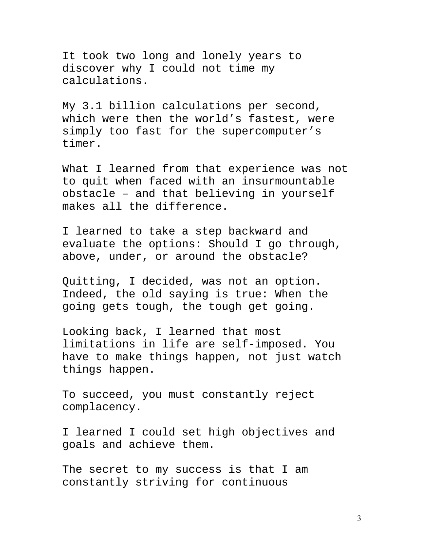It took two long and lonely years to discover why I could not time my calculations.

My 3.1 billion calculations per second, which were then the world's fastest, were simply too fast for the supercomputer's timer.

What I learned from that experience was not to quit when faced with an insurmountable obstacle – and that believing in yourself makes all the difference.

I learned to take a step backward and evaluate the options: Should I go through, above, under, or around the obstacle?

Quitting, I decided, was not an option. Indeed, the old saying is true: When the going gets tough, the tough get going.

Looking back, I learned that most limitations in life are self-imposed. You have to make things happen, not just watch things happen.

To succeed, you must constantly reject complacency.

I learned I could set high objectives and goals and achieve them.

The secret to my success is that I am constantly striving for continuous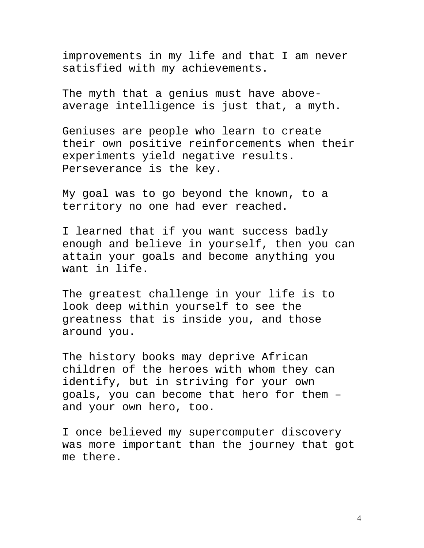improvements in my life and that I am never satisfied with my achievements.

The myth that a genius must have aboveaverage intelligence is just that, a myth.

Geniuses are people who learn to create their own positive reinforcements when their experiments yield negative results. Perseverance is the key.

My goal was to go beyond the known, to a territory no one had ever reached.

I learned that if you want success badly enough and believe in yourself, then you can attain your goals and become anything you want in life.

The greatest challenge in your life is to look deep within yourself to see the greatness that is inside you, and those around you.

The history books may deprive African children of the heroes with whom they can identify, but in striving for your own goals, you can become that hero for them – and your own hero, too.

I once believed my supercomputer discovery was more important than the journey that got me there.